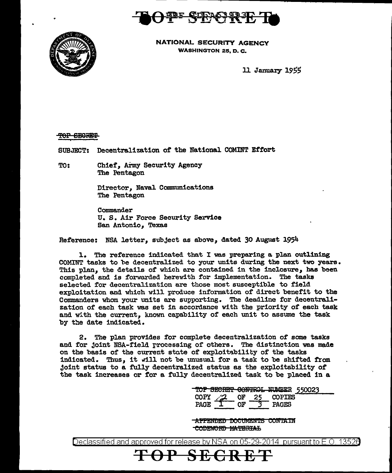



NATIONAL SECURITY AGENCY WASHINGTON 25, D. C.

ll January *<sup>1955</sup>*

TOP SECRET

SUBJECT: Decentralization of the National COMINT Effort

TO: Chief, Army Security Agency The Pentagon

> Director, Naval Communications The Pentagon

Commander U. S. Air Force Security Service San Antonio, Texas

Reference: NSA letter, subject as above, dated 30 August 1954

1. The reference indicated that I was preparing a plan outlining COMINT tasks to be decentralized to your units during the next two years. This plan, the details of which are contained in the inclosure, has been completed and is forwarded herewith for implementation. The tasks selected for decentralization are those most susceptible to field exploitation and which will produce information of direct benefit to the Commanders whom your units are supporting. The deadline for decentralization of each task was set in accordance with the priority of each task and with the current. known capability of each unit to assume the task by the date indicated.

2. The plan provides for complete decentralization of some tasks and for Joint NSA-field rrocessing of others. The distinction was made on the basis of the current state of exploitability of the tasks indicated. Thus, it will not be unusual for a task to be shifted from Joint status to a fu1ly decentralized status as the exploitability of the task increases or for a fully decentralized task to be placed in a

> TOP SECRET CONTROL NUMBER 550023  $COPY$   $\overline{2}$  of 25 COPIES<br>PAGE  $T$  of 3 PAGES  $COPY \t\t\overline{2}$  of 25 COPIES<br>PAGE  $T$  of 3 PAGES

-AFFENDED DOCUMENTS CONTAIN CODEWORD MATERIAL

Declassified and approved for release by NSA on 05-29-2014 pursuant to E.O. 13526

**SECR**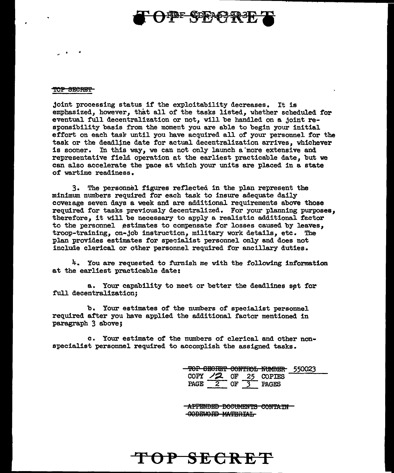## **DEF CORAGES**

## TOP SECRET

joint processing status if the exploitability decreases. It is emphasized, however, that all of the tasks listed, whether scheduled for eventual full decentralization or not, will be handled on a joint responsibility basis from the moment you are able to begin your initial effort on each task until you have acquired all of your personnel for the task or the deadline date for actual decentralization arrives, whichever is sooner. In this way, we can not only launch a'more extensive and representative field operation et the earliest practicable date, but we can also accelerate the pace at which your units are placed in a state of wartime readiness.

3. The personnel figures reflected in the plan represent the minimum numbers required for each task to insure adequate daily cove1age seven days a week and are additional requirements above those required for tasks previously decentralized. For your planning purposes, therefore, it will be necessary to apply a realistic additional fector to the personnel estimates to compensate for losses caused by leaves. troop-training, on-job instruction, military work details, etc. The plan provides estimates for specialist personnel only and does not include clerica1 or other personnel required for ancillary duties.

4. You are requested to furnish me with the folloving information at the earliest practicable date:

a. Your capability to meet or better the deadlines set for full decentralization;

b. Your estimates of the numbers of specialist personnel required after you have applied the additional factor mentioned in paragraph 3 above;

c. Your estimate of the numbers of clerical and other nonspecialist personnel required to accomplish the assigned tasks.

**TOP SECRET** 

TOP GEGRET CONTROL NUMBER 550023 COPY  $/2$  OF 25 COPIES PAGE 2 OF 3 PAGES

**-APPENDED DOCUMENTS CONTAIN-**SOBEWORD MATERIAL